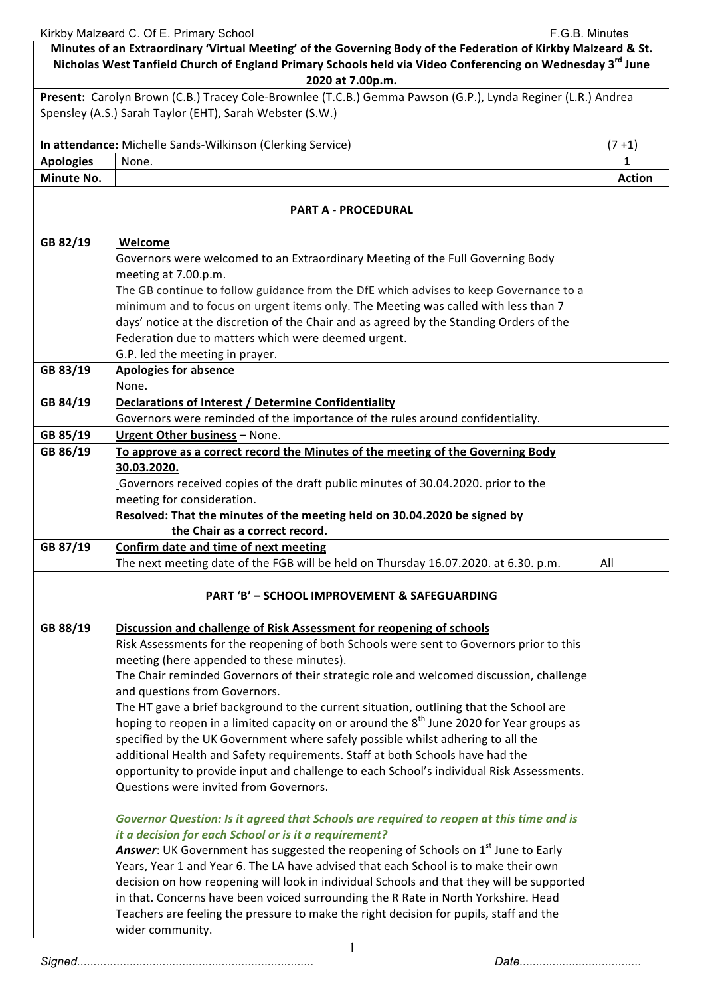|                  | Kirkby Malzeard C. Of E. Primary School<br>F.G.B. Minutes                                                                                                                                                                                                    |               |
|------------------|--------------------------------------------------------------------------------------------------------------------------------------------------------------------------------------------------------------------------------------------------------------|---------------|
|                  | Minutes of an Extraordinary 'Virtual Meeting' of the Governing Body of the Federation of Kirkby Malzeard & St.<br>Nicholas West Tanfield Church of England Primary Schools held via Video Conferencing on Wednesday 3 <sup>rd</sup> June<br>2020 at 7.00p.m. |               |
|                  | Present: Carolyn Brown (C.B.) Tracey Cole-Brownlee (T.C.B.) Gemma Pawson (G.P.), Lynda Reginer (L.R.) Andrea                                                                                                                                                 |               |
|                  | Spensley (A.S.) Sarah Taylor (EHT), Sarah Webster (S.W.)                                                                                                                                                                                                     |               |
|                  | In attendance: Michelle Sands-Wilkinson (Clerking Service)                                                                                                                                                                                                   | $(7+1)$       |
| <b>Apologies</b> | None.                                                                                                                                                                                                                                                        | $\mathbf{1}$  |
| Minute No.       |                                                                                                                                                                                                                                                              | <b>Action</b> |
|                  | <b>PART A - PROCEDURAL</b>                                                                                                                                                                                                                                   |               |
| GB 82/19         | <b>Welcome</b>                                                                                                                                                                                                                                               |               |
|                  | Governors were welcomed to an Extraordinary Meeting of the Full Governing Body                                                                                                                                                                               |               |
|                  | meeting at 7.00.p.m.                                                                                                                                                                                                                                         |               |
|                  | The GB continue to follow guidance from the DfE which advises to keep Governance to a                                                                                                                                                                        |               |
|                  | minimum and to focus on urgent items only. The Meeting was called with less than 7                                                                                                                                                                           |               |
|                  | days' notice at the discretion of the Chair and as agreed by the Standing Orders of the                                                                                                                                                                      |               |
|                  | Federation due to matters which were deemed urgent.                                                                                                                                                                                                          |               |
|                  | G.P. led the meeting in prayer.                                                                                                                                                                                                                              |               |
| GB 83/19         | <b>Apologies for absence</b>                                                                                                                                                                                                                                 |               |
|                  |                                                                                                                                                                                                                                                              |               |
|                  | None.                                                                                                                                                                                                                                                        |               |
| GB 84/19         | <b>Declarations of Interest / Determine Confidentiality</b>                                                                                                                                                                                                  |               |
|                  | Governors were reminded of the importance of the rules around confidentiality.                                                                                                                                                                               |               |
| GB 85/19         | Urgent Other business - None.                                                                                                                                                                                                                                |               |
| GB 86/19         | To approve as a correct record the Minutes of the meeting of the Governing Body                                                                                                                                                                              |               |
|                  | 30.03.2020.                                                                                                                                                                                                                                                  |               |
|                  | Governors received copies of the draft public minutes of 30.04.2020. prior to the                                                                                                                                                                            |               |
|                  | meeting for consideration.                                                                                                                                                                                                                                   |               |
|                  | Resolved: That the minutes of the meeting held on 30.04.2020 be signed by                                                                                                                                                                                    |               |
|                  | the Chair as a correct record.                                                                                                                                                                                                                               |               |
| GB 87/19         | Confirm date and time of next meeting                                                                                                                                                                                                                        |               |
|                  | The next meeting date of the FGB will be held on Thursday 16.07.2020. at 6.30. p.m.                                                                                                                                                                          | All           |
|                  | <b>PART 'B' - SCHOOL IMPROVEMENT &amp; SAFEGUARDING</b>                                                                                                                                                                                                      |               |
| GB 88/19         | Discussion and challenge of Risk Assessment for reopening of schools                                                                                                                                                                                         |               |
|                  | Risk Assessments for the reopening of both Schools were sent to Governors prior to this                                                                                                                                                                      |               |
|                  | meeting (here appended to these minutes).                                                                                                                                                                                                                    |               |
|                  | The Chair reminded Governors of their strategic role and welcomed discussion, challenge                                                                                                                                                                      |               |
|                  | and questions from Governors.                                                                                                                                                                                                                                |               |
|                  | The HT gave a brief background to the current situation, outlining that the School are                                                                                                                                                                       |               |
|                  |                                                                                                                                                                                                                                                              |               |
|                  | hoping to reopen in a limited capacity on or around the 8 <sup>th</sup> June 2020 for Year groups as                                                                                                                                                         |               |
|                  | specified by the UK Government where safely possible whilst adhering to all the                                                                                                                                                                              |               |
|                  | additional Health and Safety requirements. Staff at both Schools have had the                                                                                                                                                                                |               |
|                  | opportunity to provide input and challenge to each School's individual Risk Assessments.                                                                                                                                                                     |               |
|                  | Questions were invited from Governors.                                                                                                                                                                                                                       |               |
|                  | Governor Question: Is it agreed that Schools are required to reopen at this time and is                                                                                                                                                                      |               |
|                  |                                                                                                                                                                                                                                                              |               |
|                  | it a decision for each School or is it a requirement?                                                                                                                                                                                                        |               |
|                  | Answer: UK Government has suggested the reopening of Schools on 1 <sup>st</sup> June to Early                                                                                                                                                                |               |
|                  | Years, Year 1 and Year 6. The LA have advised that each School is to make their own                                                                                                                                                                          |               |
|                  | decision on how reopening will look in individual Schools and that they will be supported                                                                                                                                                                    |               |
|                  | in that. Concerns have been voiced surrounding the R Rate in North Yorkshire. Head                                                                                                                                                                           |               |
|                  | Teachers are feeling the pressure to make the right decision for pupils, staff and the                                                                                                                                                                       |               |
|                  | wider community.                                                                                                                                                                                                                                             |               |
|                  |                                                                                                                                                                                                                                                              |               |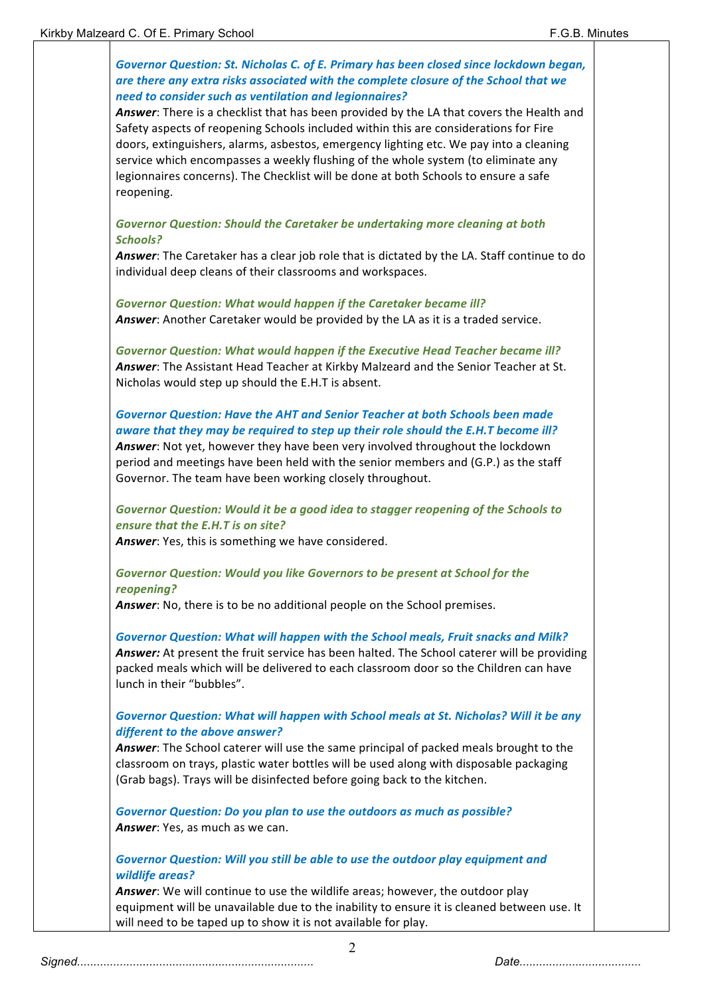| Governor Question: St. Nicholas C. of E. Primary has been closed since lockdown began,<br>are there any extra risks associated with the complete closure of the School that we<br>need to consider such as ventilation and legionnaires?<br>Answer: There is a checklist that has been provided by the LA that covers the Health and |  |
|--------------------------------------------------------------------------------------------------------------------------------------------------------------------------------------------------------------------------------------------------------------------------------------------------------------------------------------|--|
| Safety aspects of reopening Schools included within this are considerations for Fire                                                                                                                                                                                                                                                 |  |
| doors, extinguishers, alarms, asbestos, emergency lighting etc. We pay into a cleaning                                                                                                                                                                                                                                               |  |
| service which encompasses a weekly flushing of the whole system (to eliminate any<br>legionnaires concerns). The Checklist will be done at both Schools to ensure a safe                                                                                                                                                             |  |
| reopening.                                                                                                                                                                                                                                                                                                                           |  |
| Governor Question: Should the Caretaker be undertaking more cleaning at both                                                                                                                                                                                                                                                         |  |
| <b>Schools?</b>                                                                                                                                                                                                                                                                                                                      |  |
| Answer: The Caretaker has a clear job role that is dictated by the LA. Staff continue to do<br>individual deep cleans of their classrooms and workspaces.                                                                                                                                                                            |  |
| <b>Governor Question: What would happen if the Caretaker became ill?</b>                                                                                                                                                                                                                                                             |  |
| Answer: Another Caretaker would be provided by the LA as it is a traded service.                                                                                                                                                                                                                                                     |  |
| Governor Question: What would happen if the Executive Head Teacher became ill?                                                                                                                                                                                                                                                       |  |
| Answer: The Assistant Head Teacher at Kirkby Malzeard and the Senior Teacher at St.                                                                                                                                                                                                                                                  |  |
| Nicholas would step up should the E.H.T is absent.                                                                                                                                                                                                                                                                                   |  |
| <b>Governor Question: Have the AHT and Senior Teacher at both Schools been made</b>                                                                                                                                                                                                                                                  |  |
| aware that they may be required to step up their role should the E.H.T become ill?                                                                                                                                                                                                                                                   |  |
| Answer: Not yet, however they have been very involved throughout the lockdown                                                                                                                                                                                                                                                        |  |
| period and meetings have been held with the senior members and (G.P.) as the staff                                                                                                                                                                                                                                                   |  |
| Governor. The team have been working closely throughout.                                                                                                                                                                                                                                                                             |  |
| Governor Question: Would it be a good idea to stagger reopening of the Schools to                                                                                                                                                                                                                                                    |  |
| ensure that the E.H.T is on site?                                                                                                                                                                                                                                                                                                    |  |
| Answer: Yes, this is something we have considered.                                                                                                                                                                                                                                                                                   |  |
| Governor Question: Would you like Governors to be present at School for the<br>reopening?                                                                                                                                                                                                                                            |  |
| Answer: No, there is to be no additional people on the School premises.                                                                                                                                                                                                                                                              |  |
| <b>Governor Question: What will happen with the School meals, Fruit snacks and Milk?</b>                                                                                                                                                                                                                                             |  |
| Answer: At present the fruit service has been halted. The School caterer will be providing                                                                                                                                                                                                                                           |  |
| packed meals which will be delivered to each classroom door so the Children can have<br>lunch in their "bubbles".                                                                                                                                                                                                                    |  |
| Governor Question: What will happen with School meals at St. Nicholas? Will it be any                                                                                                                                                                                                                                                |  |
| different to the above answer?                                                                                                                                                                                                                                                                                                       |  |
| Answer: The School caterer will use the same principal of packed meals brought to the<br>classroom on trays, plastic water bottles will be used along with disposable packaging                                                                                                                                                      |  |
| (Grab bags). Trays will be disinfected before going back to the kitchen.                                                                                                                                                                                                                                                             |  |
| <b>Governor Question: Do you plan to use the outdoors as much as possible?</b>                                                                                                                                                                                                                                                       |  |
| Answer: Yes, as much as we can.                                                                                                                                                                                                                                                                                                      |  |
| Governor Question: Will you still be able to use the outdoor play equipment and                                                                                                                                                                                                                                                      |  |
| wildlife areas?                                                                                                                                                                                                                                                                                                                      |  |
| Answer: We will continue to use the wildlife areas; however, the outdoor play                                                                                                                                                                                                                                                        |  |
| equipment will be unavailable due to the inability to ensure it is cleaned between use. It                                                                                                                                                                                                                                           |  |
| will need to be taped up to show it is not available for play.                                                                                                                                                                                                                                                                       |  |

2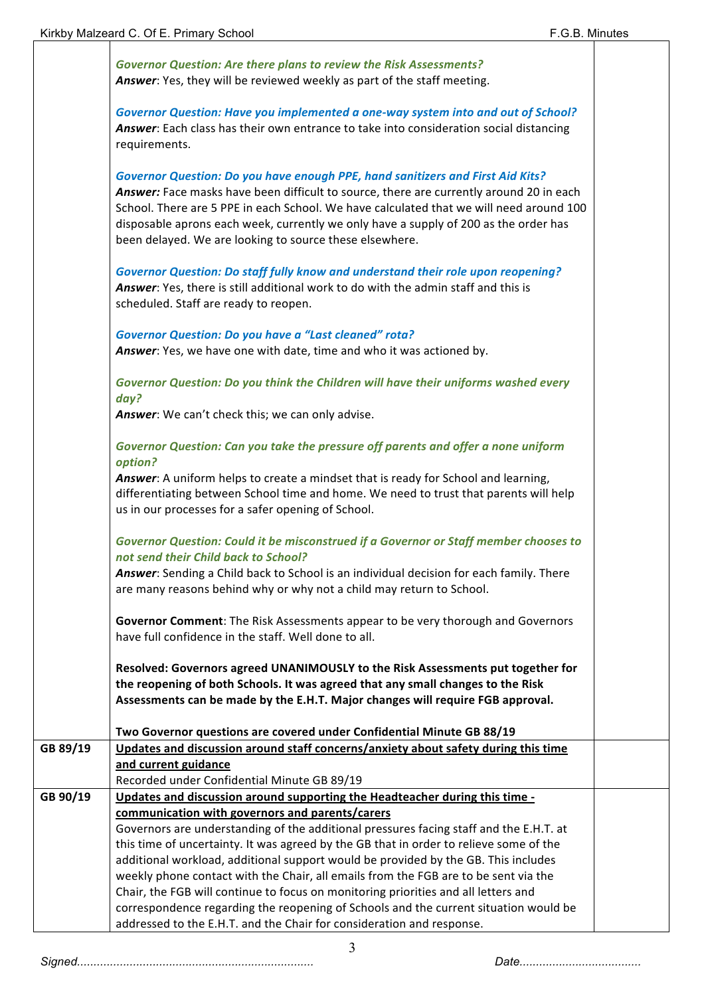|          | <b>Governor Question: Are there plans to review the Risk Assessments?</b><br>Answer: Yes, they will be reviewed weekly as part of the staff meeting.                                                                                                                                                                                                                                                                           |  |
|----------|--------------------------------------------------------------------------------------------------------------------------------------------------------------------------------------------------------------------------------------------------------------------------------------------------------------------------------------------------------------------------------------------------------------------------------|--|
|          | Governor Question: Have you implemented a one-way system into and out of School?<br>Answer: Each class has their own entrance to take into consideration social distancing<br>requirements.                                                                                                                                                                                                                                    |  |
|          | <b>Governor Question: Do you have enough PPE, hand sanitizers and First Aid Kits?</b><br>Answer: Face masks have been difficult to source, there are currently around 20 in each<br>School. There are 5 PPE in each School. We have calculated that we will need around 100<br>disposable aprons each week, currently we only have a supply of 200 as the order has<br>been delayed. We are looking to source these elsewhere. |  |
|          | <b>Governor Question: Do staff fully know and understand their role upon reopening?</b><br>Answer: Yes, there is still additional work to do with the admin staff and this is<br>scheduled. Staff are ready to reopen.                                                                                                                                                                                                         |  |
|          | <b>Governor Question: Do you have a "Last cleaned" rota?</b><br>Answer: Yes, we have one with date, time and who it was actioned by.                                                                                                                                                                                                                                                                                           |  |
|          | Governor Question: Do you think the Children will have their uniforms washed every<br>day?<br>Answer: We can't check this; we can only advise.                                                                                                                                                                                                                                                                                 |  |
|          | Governor Question: Can you take the pressure off parents and offer a none uniform<br>option?                                                                                                                                                                                                                                                                                                                                   |  |
|          | Answer: A uniform helps to create a mindset that is ready for School and learning,<br>differentiating between School time and home. We need to trust that parents will help<br>us in our processes for a safer opening of School.                                                                                                                                                                                              |  |
|          | Governor Question: Could it be misconstrued if a Governor or Staff member chooses to<br>not send their Child back to School?                                                                                                                                                                                                                                                                                                   |  |
|          | Answer: Sending a Child back to School is an individual decision for each family. There<br>are many reasons behind why or why not a child may return to School.                                                                                                                                                                                                                                                                |  |
|          | Governor Comment: The Risk Assessments appear to be very thorough and Governors<br>have full confidence in the staff. Well done to all.                                                                                                                                                                                                                                                                                        |  |
|          | Resolved: Governors agreed UNANIMOUSLY to the Risk Assessments put together for<br>the reopening of both Schools. It was agreed that any small changes to the Risk<br>Assessments can be made by the E.H.T. Major changes will require FGB approval.                                                                                                                                                                           |  |
|          | Two Governor questions are covered under Confidential Minute GB 88/19                                                                                                                                                                                                                                                                                                                                                          |  |
| GB 89/19 | Updates and discussion around staff concerns/anxiety about safety during this time<br>and current guidance<br>Recorded under Confidential Minute GB 89/19                                                                                                                                                                                                                                                                      |  |
| GB 90/19 | Updates and discussion around supporting the Headteacher during this time -                                                                                                                                                                                                                                                                                                                                                    |  |
|          | communication with governors and parents/carers                                                                                                                                                                                                                                                                                                                                                                                |  |
|          | Governors are understanding of the additional pressures facing staff and the E.H.T. at                                                                                                                                                                                                                                                                                                                                         |  |
|          | this time of uncertainty. It was agreed by the GB that in order to relieve some of the                                                                                                                                                                                                                                                                                                                                         |  |
|          | additional workload, additional support would be provided by the GB. This includes<br>weekly phone contact with the Chair, all emails from the FGB are to be sent via the                                                                                                                                                                                                                                                      |  |
|          | Chair, the FGB will continue to focus on monitoring priorities and all letters and                                                                                                                                                                                                                                                                                                                                             |  |
|          | correspondence regarding the reopening of Schools and the current situation would be                                                                                                                                                                                                                                                                                                                                           |  |
|          | addressed to the E.H.T. and the Chair for consideration and response.                                                                                                                                                                                                                                                                                                                                                          |  |

3